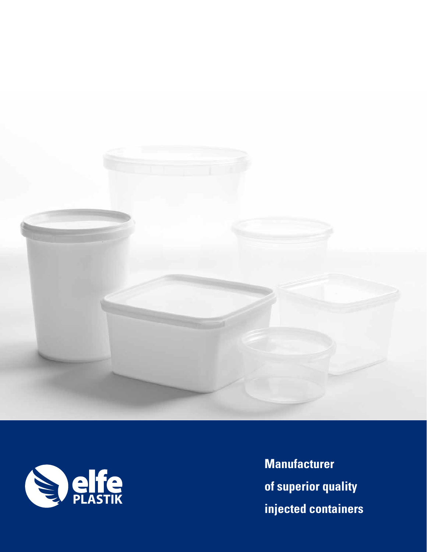



**Manufacturer of superior quality injected containers**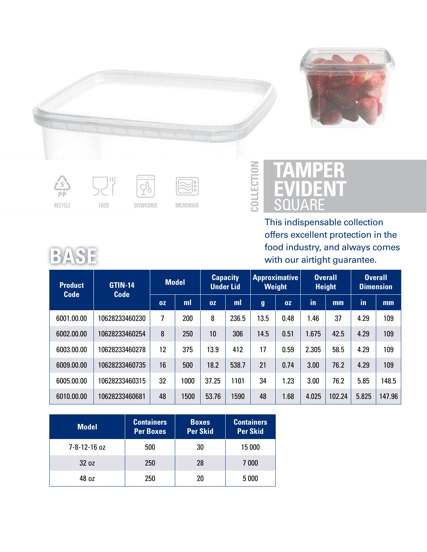











## **TAMPER EVIDENT SQUARE**

**COLLECTIO**

**N**

This indispensable collection offers excellent protection in the food industry, and always comes with our airtight guarantee.

|--|--|--|

| GTIN-14<br><b>Product</b><br><b>Code</b><br><b>Code</b> |                | <b>Model</b> |      |       | <b>Capacity</b><br><b>Approximative</b><br>Weight<br><b>Under Lid</b> |                  | <b>Overall</b><br><b>Height</b> |       | <b>Overall</b><br><b>Dimension</b> |       |        |
|---------------------------------------------------------|----------------|--------------|------|-------|-----------------------------------------------------------------------|------------------|---------------------------------|-------|------------------------------------|-------|--------|
|                                                         |                | 0Z           | ml   | 0Z    | ml                                                                    | $\boldsymbol{g}$ | 0Z                              | in    | mm                                 | in    | mm     |
| 6001.00.00                                              | 10628233460230 | 7            | 200  | 8     | 236.5                                                                 | 13.5             | 0.48                            | 1.46  | 37                                 | 4.29  | 109    |
| 6002.00.00                                              | 10628233460254 | 8            | 250  | 10    | 306                                                                   | 14.5             | 0.51                            | 1.675 | 42.5                               | 4.29  | 109    |
| 6003.00.00                                              | 10628233460278 | 12           | 375  | 13.9  | 412                                                                   | 17               | 0.59                            | 2.305 | 58.5                               | 4.29  | 109    |
| 6009.00.00                                              | 10628233460735 | 16           | 500  | 18.2  | 538.7                                                                 | 21               | 0.74                            | 3.00  | 76.2                               | 4.29  | 109    |
| 6005.00.00                                              | 10628233460315 | 32           | 1000 | 37.25 | 1101                                                                  | 34               | 1.23                            | 3.00  | 76.2                               | 5.85  | 148.5  |
| 6010.00.00                                              | 10628233460681 | 48           | 1500 | 53.76 | 1590                                                                  | 48               | 1.68                            | 4.025 | 102.24                             | 5.825 | 147.96 |

| <b>Model</b> | <b>Containers</b><br><b>Per Boxes</b> | <b>Boxes</b><br><b>Per Skid</b> | <b>Containers</b><br><b>Per Skid</b> |
|--------------|---------------------------------------|---------------------------------|--------------------------------------|
| 7-8-12-16 oz | 500                                   | 30                              | 15 000                               |
| 32 oz        | 250                                   | 28                              | 7 000                                |
| 48 oz        | 250                                   | 20                              | 5 0 0 0                              |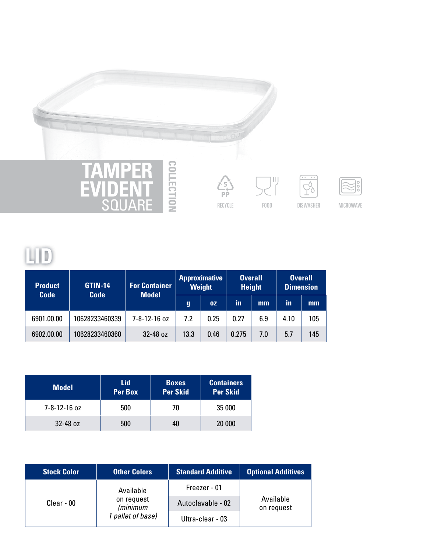

**SQUARE** 





RECYCLE FOOD DISWASHER MICROWAVE

## **LID**

| <b>Product</b><br><b>Code</b> | <b>GTIN-14</b><br><b>Code</b> | <b>For Container</b><br><b>Model</b> |      | <b>Approximative</b><br><b>Weight</b> |       | <b>Overall</b><br><b>Height</b> |      | <b>Overall</b><br><b>Dimension</b> |
|-------------------------------|-------------------------------|--------------------------------------|------|---------------------------------------|-------|---------------------------------|------|------------------------------------|
|                               |                               |                                      | g    | 0Z                                    | in    | mm                              | in   | mm                                 |
| 6901.00.00                    | 10628233460339                | 7-8-12-16 oz                         | 7.2  | 0.25                                  | 0.27  | 6.9                             | 4.10 | 105                                |
| 6902.00.00                    | 10628233460360                | 32-48 oz                             | 13.3 | 0.46                                  | 0.275 | 7.0                             | 5.7  | 145                                |

**O N**

| <b>Model</b> | Lid<br>Per Box | <b>Boxes</b><br><b>Per Skid</b> | <b>Containers</b><br><b>Per Skid</b> |
|--------------|----------------|---------------------------------|--------------------------------------|
| 7-8-12-16 oz | 500            | 70                              | 35 000                               |
| 32-48 oz     | 500            | 40                              | 20 000                               |

| <b>Stock Color</b> | <b>Other Colors</b>                         | <b>Standard Additive</b> | <b>Optional Additives</b> |  |  |
|--------------------|---------------------------------------------|--------------------------|---------------------------|--|--|
| Clear - 00         | Available                                   | Freezer - 01             |                           |  |  |
|                    | on request<br>(minimum<br>1 pallet of base) | Autoclavable - 02        | Available<br>on request   |  |  |
|                    |                                             | Ultra-clear - 03         |                           |  |  |